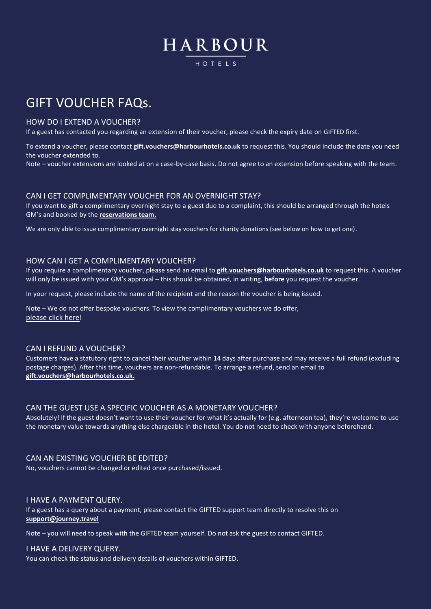# HARBOUR HOTFIS

# GIFT VOUCHER FAQs.

### HOW DO I EXTEND A VOUCHER?

If a guest has contacted you regarding an extension of their voucher, please check the expiry date on GIFTED first.

To extend a voucher, please contact **[gift.vouchers@harbourhotels.co.uk](mailto:gift.vouchers@harbourhotels.co.uk)** to request this. You should include the date you need the voucher extended to.

Note – voucher extensions are looked at on a case-by-case basis. Do not agree to an extension before speaking with the team.

### CAN I GET COMPLIMENTARY VOUCHER FOR AN OVERNIGHT STAY?

If you want to gift a complimentary overnight stay to a guest due to a complaint, this should be arranged through the hotels GM's and booked by the **[reservations team.](mailto:reservations@harbourhotels.co.uk?subject=Complimentary%20stay)**

We are only able to issue complimentary overnight stay vouchers for charity donations (see below on how to get one).

### HOW CAN I GET A COMPLIMENTARY VOUCHER?

If you require a complimentary voucher, please send an email to **[gift.vouchers@harbourhotels.co.uk](mailto:gift.vouchers@harbourhotels.co.uk?subject=Complimentary%20voucher)** to request this. A voucher will only be issued with your GM's approval – this should be obtained, in writing, **before** you request the voucher.

In your request, please include the name of the recipient and the reason the voucher is being issued.

Note – We do not offer bespoke vouchers. To view the complimentary vouchers we do offer, [please click here](https://harbourhotels.wearegifted.co.uk/offer/comp-vouchers)!

#### CAN I REFUND A VOUCHER?

Customers have a statutory right to cancel their voucher within 14 days after purchase and may receive a full refund (excluding postage charges). After this time, vouchers are non-refundable. To arrange a refund, send an email to **[gift.vouchers@harbourhotels.co.uk.](mailto:gift.vouchers@harbourhotels.co.uk)**

#### CAN THE GUEST USE A SPECIFIC VOUCHER AS A MONETARY VOUCHER?

Absolutely! If the guest doesn't want to use their voucher for what it's actually for (e.g. afternoon tea), they're welcome to use the monetary value towards anything else chargeable in the hotel. You do not need to check with anyone beforehand.

### CAN AN EXISTING VOUCHER BE EDITED?

No, vouchers cannot be changed or edited once purchased/issued.

#### I HAVE A PAYMENT QUERY.

If a guest has a query about a payment, please contact the GIFTED support team directly to resolve this on **[support@journey.travel](mailto:support@journey.travel)**

Note – you will need to speak with the GIFTED team yourself. Do not ask the guest to contact GIFTED.

#### I HAVE A DELIVERY QUERY.

You can check the status and delivery details of vouchers within GIFTED.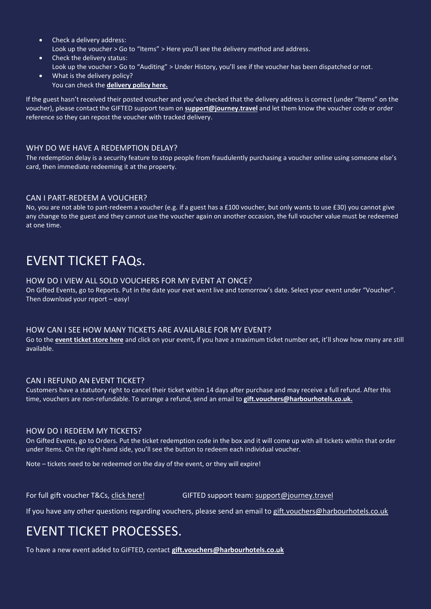- Check a delivery address: Look up the voucher > Go to "Items" > Here you'll see the delivery method and address.
- Check the delivery status: Look up the voucher > Go to "Auditing" > Under History, you'll see if the voucher has been dispatched or not.
- What is the delivery policy? You can check the **[delivery policy here.](https://harbourhotels.wearegifted.co.uk/delivery)**

If the guest hasn't received their posted voucher and you've checked that the delivery address is correct (under "Items" on the voucher), please contact the GIFTED support team on **[support@journey.travel](mailto:support@journey.travel)** and let them know the voucher code or order reference so they can repost the voucher with tracked delivery.

## WHY DO WE HAVE A REDEMPTION DELAY?

The redemption delay is a security feature to stop people from fraudulently purchasing a voucher online using someone else's card, then immediate redeeming it at the property.

## CAN I PART-REDEEM A VOUCHER?

No, you are not able to part-redeem a voucher (e.g. if a guest has a £100 voucher, but only wants to use £30) you cannot give any change to the guest and they cannot use the voucher again on another occasion, the full voucher value must be redeemed at one time.

# EVENT TICKET FAQs.

### HOW DO I VIEW ALL SOLD VOUCHERS FOR MY EVENT AT ONCE?

On Gifted Events, go to Reports. Put in the date your evet went live and tomorrow's date. Select your event under "Voucher". Then download your report – easy!

## HOW CAN I SEE HOW MANY TICKETS ARE AVAILABLE FOR MY EVENT?

Go to the **[event ticket store here](https://harbourevents.wearegifted.co.uk/)** and click on your event, if you have a maximum ticket number set, it'll show how many are still available.

## CAN I REFUND AN EVENT TICKET?

Customers have a statutory right to cancel their ticket within 14 days after purchase and may receive a full refund. After this time, vouchers are non-refundable. To arrange a refund, send an email to **[gift.vouchers@harbourhotels.co.uk.](mailto:gift.vouchers@harbourhotels.co.uk)**

## HOW DO I REDEEM MY TICKETS?

On Gifted Events, go to Orders. Put the ticket redemption code in the box and it will come up with all tickets within that order under Items. On the right-hand side, you'll see the button to redeem each individual voucher.

Note – tickets need to be redeemed on the day of the event, or they will expire!

For full gift voucher T&Cs, [click here!](https://harbourhotels.wearegifted.co.uk/terms-conditions) GIFTED support team: [support@journey.travel](mailto:support@journey.travel)

If you have any other questions regarding vouchers, please send an email to [gift.vouchers@harbourhotels.co.uk](mailto:gift.vouchers@harbourhotels.co.uk)

# EVENT TICKET PROCESSES.

To have a new event added to GIFTED, contact **[gift.vouchers@harbourhotels.co.uk](mailto:gift.vouchers@harbourhotels.co.uk)**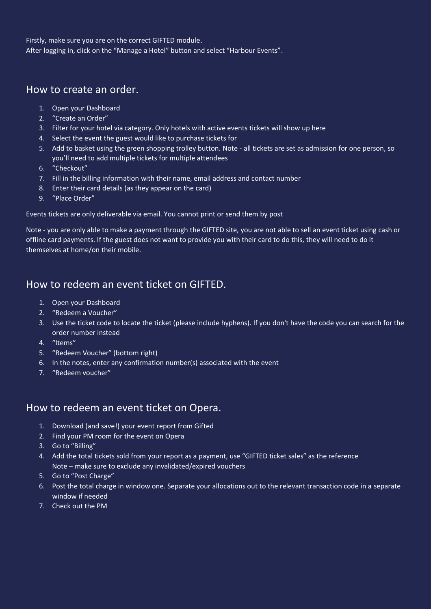Firstly, make sure you are on the correct GIFTED module. After logging in, click on the "Manage a Hotel" button and select "Harbour Events".

## How to create an order.

- 1. Open your Dashboard
- 2. "Create an Order"
- 3. Filter for your hotel via category. Only hotels with active events tickets will show up here
- 4. Select the event the guest would like to purchase tickets for
- 5. Add to basket using the green shopping trolley button. Note all tickets are set as admission for one person, so you'll need to add multiple tickets for multiple attendees
- 6. "Checkout"
- 7. Fill in the billing information with their name, email address and contact number
- 8. Enter their card details (as they appear on the card)
- 9. "Place Order"

Events tickets are only deliverable via email. You cannot print or send them by post

Note - you are only able to make a payment through the GIFTED site, you are not able to sell an event ticket using cash or offline card payments. If the guest does not want to provide you with their card to do this, they will need to do it themselves at home/on their mobile.

## How to redeem an event ticket on GIFTED.

- 1. Open your Dashboard
- 2. "Redeem a Voucher"
- 3. Use the ticket code to locate the ticket (please include hyphens). If you don't have the code you can search for the order number instead
- 4. "Items"
- 5. "Redeem Voucher" (bottom right)
- 6. In the notes, enter any confirmation number(s) associated with the event
- 7. "Redeem voucher"

## How to redeem an event ticket on Opera.

- 1. Download (and save!) your event report from Gifted
- 2. Find your PM room for the event on Opera
- 3. Go to "Billing"
- 4. Add the total tickets sold from your report as a payment, use "GIFTED ticket sales" as the reference Note – make sure to exclude any invalidated/expired vouchers
- 5. Go to "Post Charge"
- 6. Post the total charge in window one. Separate your allocations out to the relevant transaction code in a separate window if needed
- 7. Check out the PM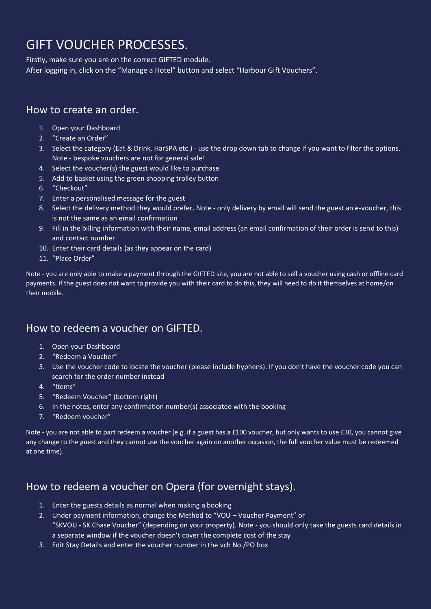# GIFT VOUCHER PROCESSES.

Firstly, make sure you are on the correct GIFTED module. After logging in, click on the "Manage a Hotel" button and select "Harbour Gift Vouchers".

## How to create an order.

- 1. Open your Dashboard
- 2. "Create an Order"
- 3. Select the category (Eat & Drink, HarSPA etc.) use the drop down tab to change if you want to filter the options. Note - bespoke vouchers are not for general sale!
- 4. Select the voucher(s) the guest would like to purchase
- 5. Add to basket using the green shopping trolley button
- 6. "Checkout"
- 7. Enter a personalised message for the guest
- 8. Select the delivery method they would prefer. Note only delivery by email will send the guest an e-voucher, this is not the same as an email confirmation
- 9. Fill in the billing information with their name, email address (an email confirmation of their order is send to this) and contact number
- 10. Enter their card details (as they appear on the card)
- 11. "Place Order"

Note - you are only able to make a payment through the GIFTED site, you are not able to sell a voucher using cash or offline card payments. If the guest does not want to provide you with their card to do this, they will need to do it themselves at home/on their mobile.

# How to redeem a voucher on GIFTED.

- 1. Open your Dashboard
- 2. "Redeem a Voucher"
- 3. Use the voucher code to locate the voucher (please include hyphens). If you don't have the voucher code you can search for the order number instead
- 4. "Items"
- 5. "Redeem Voucher" (bottom right)
- 6. In the notes, enter any confirmation number(s) associated with the booking
- 7. "Redeem voucher"

Note - you are not able to part redeem a voucher (e.g. if a guest has a £100 voucher, but only wants to use £30, you cannot give any change to the guest and they cannot use the voucher again on another occasion, the full voucher value must be redeemed at one time).

# How to redeem a voucher on Opera (for overnight stays).

- 1. Enter the guests details as normal when making a booking
- 2. Under payment information, change the Method to "VOU Voucher Payment" or "SKVOU - SK Chase Voucher" (depending on your property). Note - you should only take the guests card details in a separate window if the voucher doesn't cover the complete cost of the stay
- 3. Edit Stay Details and enter the voucher number in the vch No./PO box